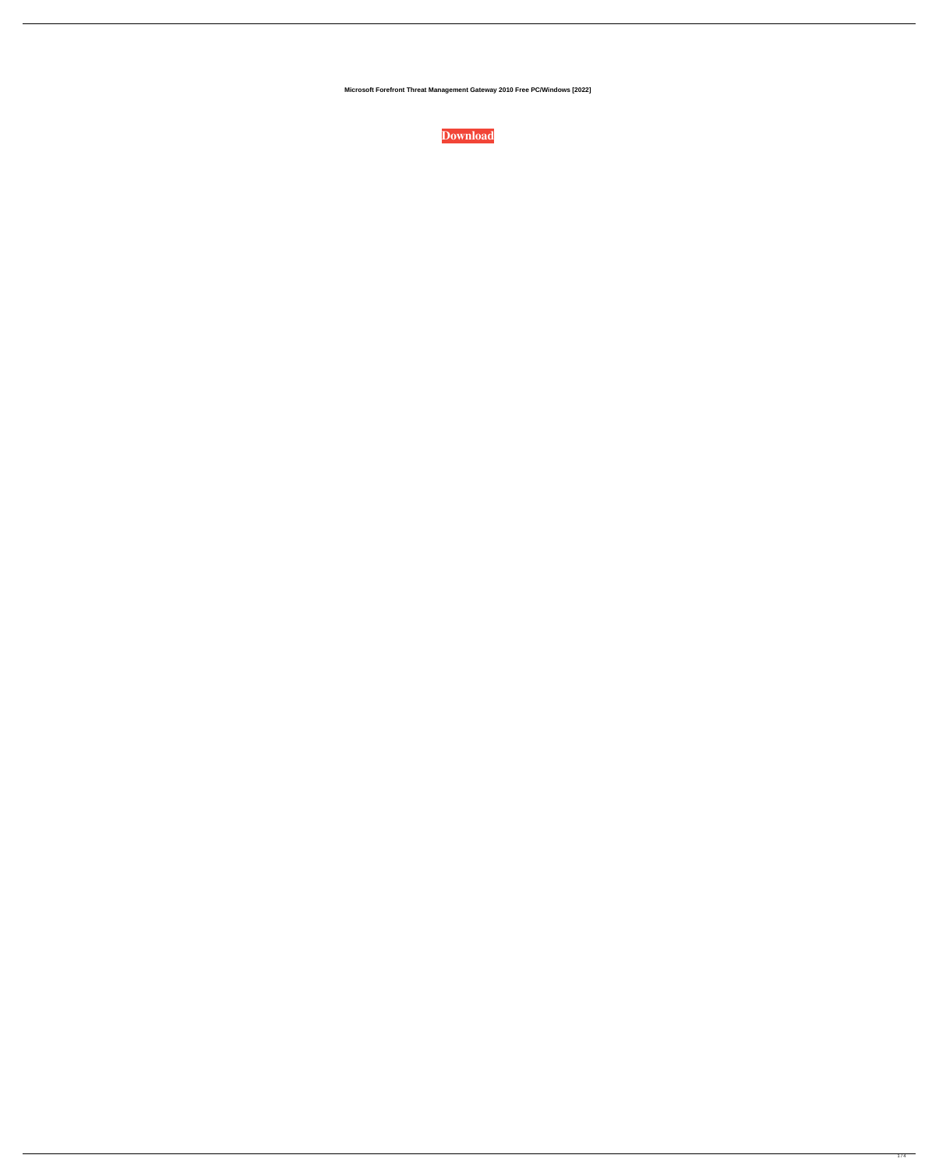**Microsoft Forefront Threat Management Gateway 2010 Free PC/Windows [2022]**

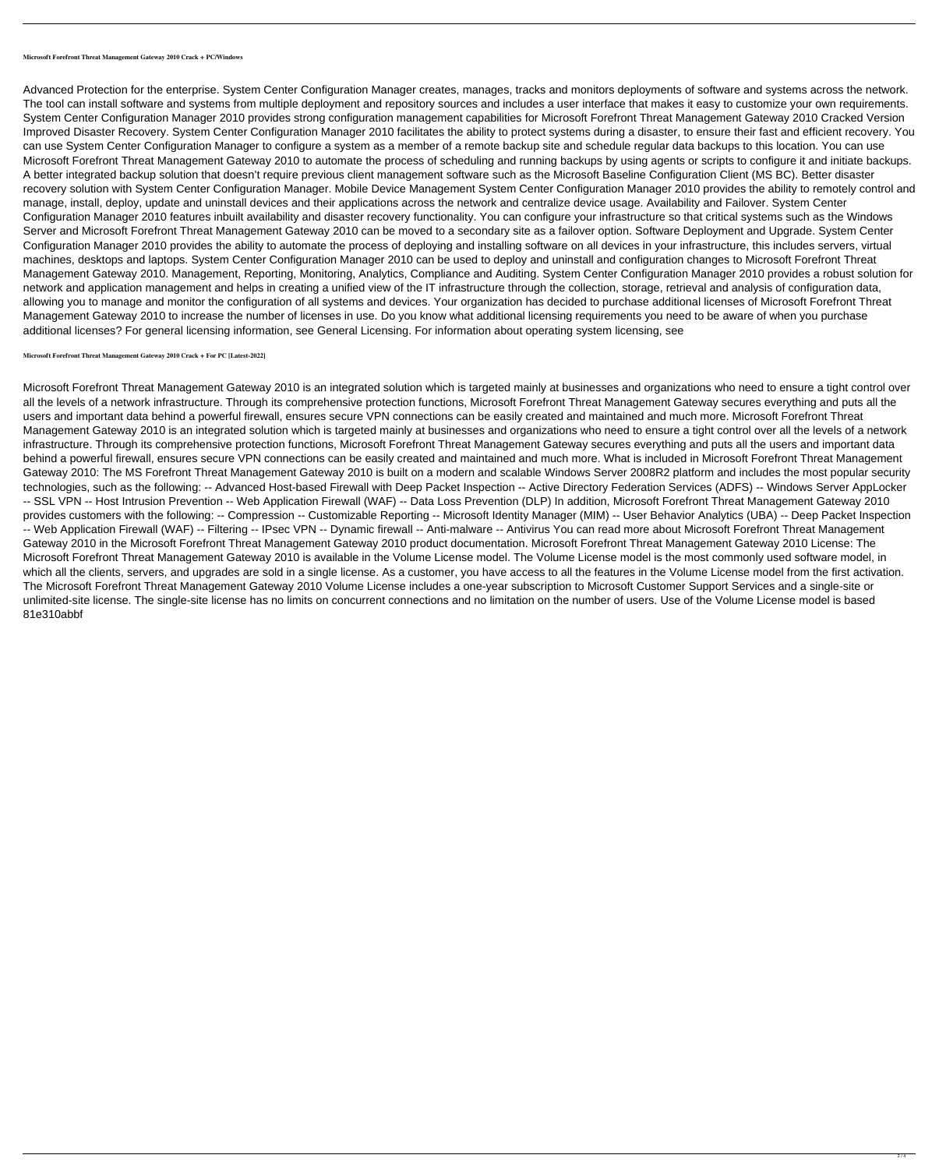**Microsoft Forefront Threat Management Gateway 2010 Crack + PC/Windows**

Advanced Protection for the enterprise. System Center Configuration Manager creates, manages, tracks and monitors deployments of software and systems across the network. The tool can install software and systems from multiple deployment and repository sources and includes a user interface that makes it easy to customize your own requirements. System Center Configuration Manager 2010 provides strong configuration management capabilities for Microsoft Forefront Threat Management Gateway 2010 Cracked Version Improved Disaster Recovery. System Center Configuration Manager 2010 facilitates the ability to protect systems during a disaster, to ensure their fast and efficient recovery. You can use System Center Configuration Manager to configure a system as a member of a remote backup site and schedule regular data backups to this location. You can use Microsoft Forefront Threat Management Gateway 2010 to automate the process of scheduling and running backups by using agents or scripts to configure it and initiate backups. A better integrated backup solution that doesn't require previous client management software such as the Microsoft Baseline Configuration Client (MS BC). Better disaster recovery solution with System Center Configuration Manager. Mobile Device Management System Center Configuration Manager 2010 provides the ability to remotely control and manage, install, deploy, update and uninstall devices and their applications across the network and centralize device usage. Availability and Failover. System Center Configuration Manager 2010 features inbuilt availability and disaster recovery functionality. You can configure your infrastructure so that critical systems such as the Windows Server and Microsoft Forefront Threat Management Gateway 2010 can be moved to a secondary site as a failover option. Software Deployment and Upgrade. System Center Configuration Manager 2010 provides the ability to automate the process of deploying and installing software on all devices in your infrastructure, this includes servers, virtual machines, desktops and laptops. System Center Configuration Manager 2010 can be used to deploy and uninstall and configuration changes to Microsoft Forefront Threat Management Gateway 2010. Management, Reporting, Monitoring, Analytics, Compliance and Auditing. System Center Configuration Manager 2010 provides a robust solution for network and application management and helps in creating a unified view of the IT infrastructure through the collection, storage, retrieval and analysis of configuration data, allowing you to manage and monitor the configuration of all systems and devices. Your organization has decided to purchase additional licenses of Microsoft Forefront Threat Management Gateway 2010 to increase the number of licenses in use. Do you know what additional licensing requirements you need to be aware of when you purchase additional licenses? For general licensing information, see General Licensing. For information about operating system licensing, see

**Microsoft Forefront Threat Management Gateway 2010 Crack + For PC [Latest-2022]**

Microsoft Forefront Threat Management Gateway 2010 is an integrated solution which is targeted mainly at businesses and organizations who need to ensure a tight control over all the levels of a network infrastructure. Through its comprehensive protection functions, Microsoft Forefront Threat Management Gateway secures everything and puts all the users and important data behind a powerful firewall, ensures secure VPN connections can be easily created and maintained and much more. Microsoft Forefront Threat Management Gateway 2010 is an integrated solution which is targeted mainly at businesses and organizations who need to ensure a tight control over all the levels of a network infrastructure. Through its comprehensive protection functions, Microsoft Forefront Threat Management Gateway secures everything and puts all the users and important data behind a powerful firewall, ensures secure VPN connections can be easily created and maintained and much more. What is included in Microsoft Forefront Threat Management Gateway 2010: The MS Forefront Threat Management Gateway 2010 is built on a modern and scalable Windows Server 2008R2 platform and includes the most popular security technologies, such as the following: -- Advanced Host-based Firewall with Deep Packet Inspection -- Active Directory Federation Services (ADFS) -- Windows Server AppLocker -- SSL VPN -- Host Intrusion Prevention -- Web Application Firewall (WAF) -- Data Loss Prevention (DLP) In addition, Microsoft Forefront Threat Management Gateway 2010 provides customers with the following: -- Compression -- Customizable Reporting -- Microsoft Identity Manager (MIM) -- User Behavior Analytics (UBA) -- Deep Packet Inspection -- Web Application Firewall (WAF) -- Filtering -- IPsec VPN -- Dynamic firewall -- Anti-malware -- Antivirus You can read more about Microsoft Forefront Threat Management Gateway 2010 in the Microsoft Forefront Threat Management Gateway 2010 product documentation. Microsoft Forefront Threat Management Gateway 2010 License: The Microsoft Forefront Threat Management Gateway 2010 is available in the Volume License model. The Volume License model is the most commonly used software model, in which all the clients, servers, and upgrades are sold in a single license. As a customer, you have access to all the features in the Volume License model from the first activation. The Microsoft Forefront Threat Management Gateway 2010 Volume License includes a one-year subscription to Microsoft Customer Support Services and a single-site or unlimited-site license. The single-site license has no limits on concurrent connections and no limitation on the number of users. Use of the Volume License model is based 81e310abbf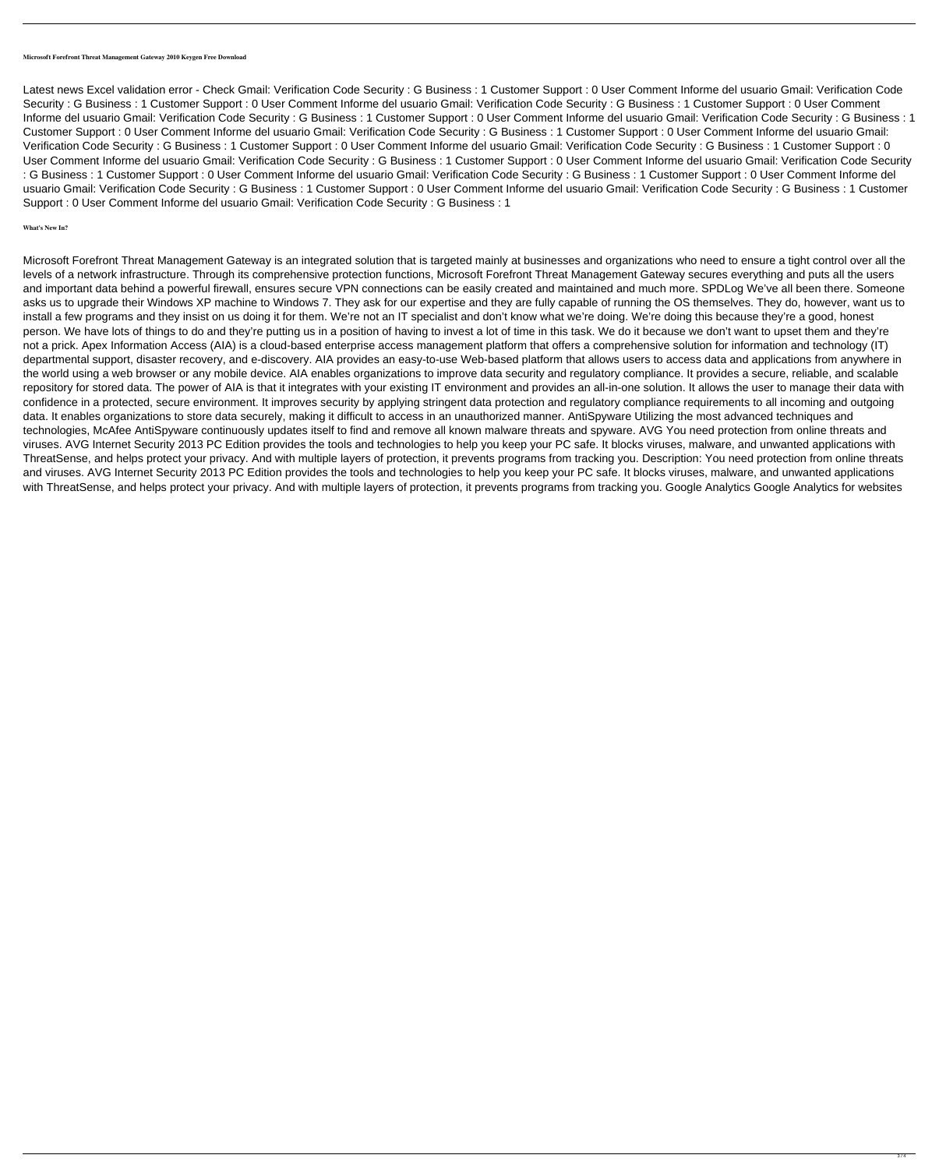## **Microsoft Forefront Threat Management Gateway 2010 Keygen Free Download**

Latest news Excel validation error - Check Gmail: Verification Code Security : G Business : 1 Customer Support : 0 User Comment Informe del usuario Gmail: Verification Code Security : G Business : 1 Customer Support : 0 User Comment Informe del usuario Gmail: Verification Code Security : G Business : 1 Customer Support : 0 User Comment Informe del usuario Gmail: Verification Code Security : G Business : 1 Customer Support : 0 User Comment Informe del usuario Gmail: Verification Code Security : G Business : 1 Customer Support : 0 User Comment Informe del usuario Gmail: Verification Code Security : G Business : 1 Customer Support : 0 User Comment Informe del usuario Gmail: Verification Code Security : G Business : 1 Customer Support : 0 User Comment Informe del usuario Gmail: Verification Code Security : G Business : 1 Customer Support : 0 User Comment Informe del usuario Gmail: Verification Code Security : G Business : 1 Customer Support : 0 User Comment Informe del usuario Gmail: Verification Code Security : G Business : 1 Customer Support : 0 User Comment Informe del usuario Gmail: Verification Code Security : G Business : 1 Customer Support : 0 User Comment Informe del usuario Gmail: Verification Code Security : G Business : 1 Customer Support : 0 User Comment Informe del usuario Gmail: Verification Code Security : G Business : 1 Customer Support : 0 User Comment Informe del usuario Gmail: Verification Code Security : G Business : 1

## **What's New In?**

Microsoft Forefront Threat Management Gateway is an integrated solution that is targeted mainly at businesses and organizations who need to ensure a tight control over all the levels of a network infrastructure. Through its comprehensive protection functions, Microsoft Forefront Threat Management Gateway secures everything and puts all the users and important data behind a powerful firewall, ensures secure VPN connections can be easily created and maintained and much more. SPDLog We've all been there. Someone asks us to upgrade their Windows XP machine to Windows 7. They ask for our expertise and they are fully capable of running the OS themselves. They do, however, want us to install a few programs and they insist on us doing it for them. We're not an IT specialist and don't know what we're doing. We're doing this because they're a good, honest person. We have lots of things to do and they're putting us in a position of having to invest a lot of time in this task. We do it because we don't want to upset them and they're not a prick. Apex Information Access (AIA) is a cloud-based enterprise access management platform that offers a comprehensive solution for information and technology (IT) departmental support, disaster recovery, and e-discovery. AIA provides an easy-to-use Web-based platform that allows users to access data and applications from anywhere in the world using a web browser or any mobile device. AIA enables organizations to improve data security and regulatory compliance. It provides a secure, reliable, and scalable repository for stored data. The power of AIA is that it integrates with your existing IT environment and provides an all-in-one solution. It allows the user to manage their data with confidence in a protected, secure environment. It improves security by applying stringent data protection and regulatory compliance requirements to all incoming and outgoing data. It enables organizations to store data securely, making it difficult to access in an unauthorized manner. AntiSpyware Utilizing the most advanced techniques and technologies, McAfee AntiSpyware continuously updates itself to find and remove all known malware threats and spyware. AVG You need protection from online threats and viruses. AVG Internet Security 2013 PC Edition provides the tools and technologies to help you keep your PC safe. It blocks viruses, malware, and unwanted applications with ThreatSense, and helps protect your privacy. And with multiple layers of protection, it prevents programs from tracking you. Description: You need protection from online threats and viruses. AVG Internet Security 2013 PC Edition provides the tools and technologies to help you keep your PC safe. It blocks viruses, malware, and unwanted applications with ThreatSense, and helps protect your privacy. And with multiple layers of protection, it prevents programs from tracking you. Google Analytics Google Analytics for websites